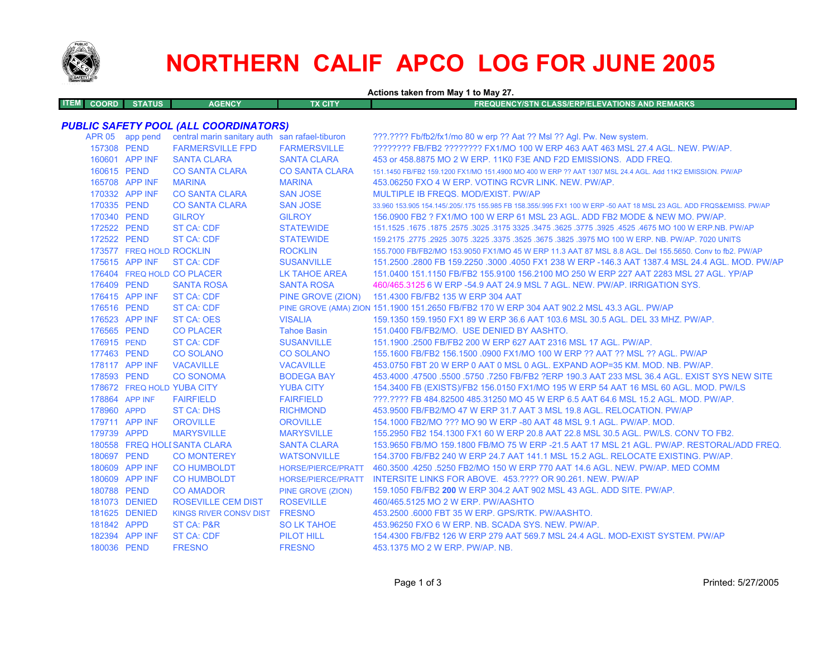

## **NORTHERN CALIF APCO LOG FOR JUNE 2005**

**Actions taken from May 1 to May 27.**

|  | <b>ITEM COORD STATUS</b> | <b>AGENCY</b> | TX CITY | FREQUENCY/STN CLASS/ERP/ELEVATIONS AND REMARKS \ |
|--|--------------------------|---------------|---------|--------------------------------------------------|
|  |                          |               |         |                                                  |

## *PUBLIC SAFETY POOL (ALL COORDINATORS)*

|             | APR 05 app pend          | central marin sanitary auth san rafael-tiburon |                       | ???.???? Fb/fb2/fx1/mo 80 w erp ?? Aat ?? Msl ?? Agl. Pw. New system.                                               |
|-------------|--------------------------|------------------------------------------------|-----------------------|---------------------------------------------------------------------------------------------------------------------|
| 157308 PEND |                          | <b>FARMERSVILLE FPD</b>                        | <b>FARMERSVILLE</b>   | ???????? FB/FB2 ???????? FX1/MO 100 W ERP 463 AAT 463 MSL 27.4 AGL. NEW. PW/AP.                                     |
|             | 160601 APP INF           | <b>SANTA CLARA</b>                             | <b>SANTA CLARA</b>    | 453 or 458,8875 MO 2 W ERP, 11K0 F3E AND F2D EMISSIONS. ADD FREQ.                                                   |
| 160615 PEND |                          | <b>CO SANTA CLARA</b>                          | <b>CO SANTA CLARA</b> | 151.1450 FB/FB2 159.1200 FX1/MO 151.4900 MO 400 W ERP ?? AAT 1307 MSL 24.4 AGL. Add 11K2 EMISSION. PW/AP            |
|             | 165708 APP INF           | <b>MARINA</b>                                  | <b>MARINA</b>         | 453.06250 FXO 4 W ERP. VOTING RCVR LINK, NEW, PW/AP.                                                                |
|             | 170332 APP INF           | <b>CO SANTA CLARA</b>                          | <b>SAN JOSE</b>       | MULTIPLE IB FREQS, MOD/EXIST, PW/AP                                                                                 |
| 170335 PEND |                          | <b>CO SANTA CLARA</b>                          | <b>SAN JOSE</b>       | 33,960 153,905 154,145/.205/.175 155,985 FB 158,355/.995 FX1 100 W ERP -50 AAT 18 MSL 23 AGL, ADD FRQS&EMISS, PW/AP |
| 170340 PEND |                          | <b>GILROY</b>                                  | <b>GILROY</b>         | 156,0900 FB2 ? FX1/MO 100 W ERP 61 MSL 23 AGL. ADD FB2 MODE & NEW MO, PW/AP.                                        |
| 172522 PEND |                          | <b>ST CA: CDF</b>                              | <b>STATEWIDE</b>      | 167.1525 .1675 .1675 .3025 .3025 .3475 .3625 .3775 .3925 .3775 .3925 .4525 .4675 .00 .1675 .1679 .1679 .1679 .      |
| 172522 PEND |                          | <b>ST CA: CDF</b>                              | <b>STATEWIDE</b>      | 159.2175 .2775 .2925 .3075 .3225 .3675 .3675 .3825 .3975 MO 100 W ERP. NB. PW/AP. 7020 UNITS                        |
|             | 173577 FREQ HOLD ROCKLIN |                                                | <b>ROCKLIN</b>        | 155,7000 FB/FB2/MO 153,9050 FX1/MO 45 W ERP 11.3 AAT 87 MSL 8.8 AGL, Del 155,5650, Conv to fb2, PW/AP               |
|             | 175615 APP INF           | ST CA: CDF                                     | <b>SUSANVILLE</b>     | 151.2500 .2800 FB 159.2250 .3000 .4050 FX1 238 W ERP -146.3 AAT 1387.4 MSL 24.4 AGL, MOD, PW/AP                     |
|             |                          | 176404 FREQ HOLD CO PLACER                     | <b>LK TAHOE AREA</b>  | 151.0400 151.1150 FB/FB2 155.9100 156.2100 MO 250 W ERP 227 AAT 2283 MSL 27 AGL. YP/AP                              |
| 176409 PEND |                          | <b>SANTA ROSA</b>                              | <b>SANTA ROSA</b>     | 460/465.3125 6 W ERP -54.9 AAT 24.9 MSL 7 AGL, NEW, PW/AP, IRRIGATION SYS.                                          |
|             | 176415 APP INF           | <b>ST CA: CDF</b>                              |                       | PINE GROVE (ZION) 151.4300 FB/FB2 135 W ERP 304 AAT                                                                 |
| 176516 PEND |                          | <b>ST CA: CDF</b>                              |                       | PINE GROVE (AMA) ZION 151.1900 151.2650 FB/FB2 170 W ERP 304 AAT 902.2 MSL 43.3 AGL. PW/AP                          |
|             | 176523 APP INF           | <b>ST CA: OES</b>                              | <b>VISALIA</b>        | 159.1350 159.1950 FX1 89 W ERP 36.6 AAT 103.6 MSL 30.5 AGL. DEL 33 MHZ. PW/AP.                                      |
| 176565 PEND |                          | <b>CO PLACER</b>                               | <b>Tahoe Basin</b>    | 151.0400 FB/FB2/MO. USE DENIED BY AASHTO.                                                                           |
| 176915 PEND |                          | <b>ST CA: CDF</b>                              | <b>SUSANVILLE</b>     | 151.1900 .2500 FB/FB2 200 W ERP 627 AAT 2316 MSL 17 AGL, PW/AP.                                                     |
| 177463 PEND |                          | <b>CO SOLANO</b>                               | <b>CO SOLANO</b>      | 155.1600 FB/FB2 156.1500 .0900 FX1/MO 100 W ERP ?? AAT ?? MSL ?? AGL. PW/AP                                         |
|             | 178117 APP INF           | <b>VACAVILLE</b>                               | <b>VACAVILLE</b>      | 453.0750 FBT 20 W ERP 0 AAT 0 MSL 0 AGL. EXPAND AOP=35 KM, MOD, NB, PW/AP,                                          |
| 178593 PEND |                          | <b>CO SONOMA</b>                               | <b>BODEGA BAY</b>     | 453,4000 .47500 .5500 .5750 .7250 FB/FB2 ?ERP 190.3 AAT 233 MSL 36.4 AGL. EXIST SYS NEW SITE                        |
|             |                          | 178672 FREQ HOLD YUBA CITY                     | <b>YUBA CITY</b>      | 154.3400 FB (EXISTS)/FB2 156.0150 FX1/MO 195 W ERP 54 AAT 16 MSL 60 AGL. MOD. PW/LS                                 |
|             | 178864 APP INF           | <b>FAIRFIELD</b>                               | <b>FAIRFIELD</b>      | 222.2222 FB 484.82500 485.31250 MO 45 W ERP 6.5 AAT 64.6 MSL 15.2 AGL, MOD, PW/AP,                                  |
| 178960 APPD |                          | <b>ST CA: DHS</b>                              | <b>RICHMOND</b>       | 453.9500 FB/FB2/MO 47 W ERP 31.7 AAT 3 MSL 19.8 AGL. RELOCATION. PW/AP                                              |
|             | 179711 APP INF           | <b>OROVILLE</b>                                | <b>OROVILLE</b>       | 154,1000 FB2/MO ??? MO 90 W ERP -80 AAT 48 MSL 9.1 AGL, PW/AP, MOD.                                                 |
| 179739 APPD |                          | <b>MARYSVILLE</b>                              | <b>MARYSVILLE</b>     | 155.2950 FB2 154.1300 FX1 60 W ERP 20.8 AAT 22.8 MSL 30.5 AGL. PW/LS. CONV TO FB2.                                  |
|             |                          | 180558 FREQ HOLI SANTA CLARA                   | <b>SANTA CLARA</b>    | 153,9650 FB/MO 159,1800 FB/MO 75 W ERP -21.5 AAT 17 MSL 21 AGL, PW/AP, RESTORAL/ADD FREQ.                           |
| 180697 PEND |                          | <b>CO MONTEREY</b>                             | <b>WATSONVILLE</b>    | 154.3700 FB/FB2 240 W ERP 24.7 AAT 141.1 MSL 15.2 AGL. RELOCATE EXISTING, PW/AP.                                    |
|             | 180609 APP INF           | <b>CO HUMBOLDT</b>                             | HORSE/PIERCE/PRATT    | 460.3500 .4250 .5250 FB2/MO 150 W ERP 770 AAT 14.6 AGL. NEW. PW/AP. MED COMM                                        |
|             | 180609 APP INF           | <b>CO HUMBOLDT</b>                             |                       | HORSE/PIERCE/PRATT INTERSITE LINKS FOR ABOVE. 453.???? OR 90.261. NEW. PW/AP                                        |
| 180788 PEND |                          | <b>CO AMADOR</b>                               | PINE GROVE (ZION)     | 159.1050 FB/FB2 200 W ERP 304.2 AAT 902 MSL 43 AGL, ADD SITE, PW/AP.                                                |
|             | 181073 DENIED            | <b>ROSEVILLE CEM DIST</b>                      | <b>ROSEVILLE</b>      | 460/465.5125 MO 2 W ERP. PW/AASHTO                                                                                  |
|             | 181625 DENIED            | <b>KINGS RIVER CONSV DIST</b>                  | <b>FRESNO</b>         | 453.2500 .6000 FBT 35 W ERP. GPS/RTK, PW/AASHTO.                                                                    |
| 181842 APPD |                          | ST CA: P&R                                     | <b>SO LK TAHOE</b>    | 453.96250 FXO 6 W ERP. NB. SCADA SYS. NEW. PW/AP.                                                                   |
|             | 182394 APP INF           | <b>ST CA: CDF</b>                              | <b>PILOT HILL</b>     | 154,4300 FB/FB2 126 W ERP 279 AAT 569.7 MSL 24.4 AGL, MOD-EXIST SYSTEM, PW/AP                                       |
| 180036 PEND |                          | <b>FRESNO</b>                                  | <b>FRESNO</b>         | 453.1375 MO 2 W ERP. PW/AP. NB.                                                                                     |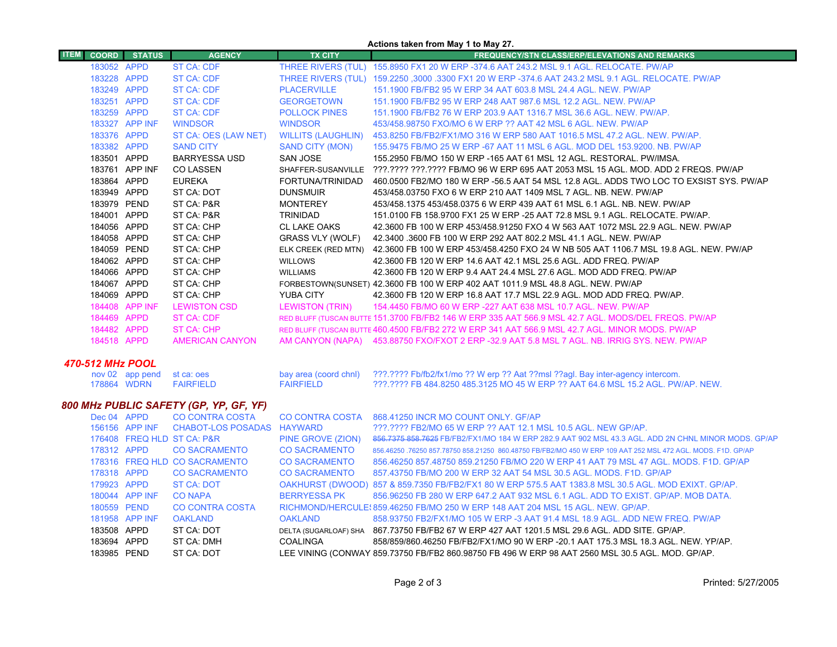|             |              |                  |                                        |                           | Actions taken from May 1 to May 27.                                                                          |
|-------------|--------------|------------------|----------------------------------------|---------------------------|--------------------------------------------------------------------------------------------------------------|
| <b>ITEM</b> | <b>COORD</b> | <b>STATUS</b>    | <b>AGENCY</b>                          | <b>TX CITY</b>            | <b>FREQUENCY/STN CLASS/ERP/ELEVATIONS AND REMARKS</b>                                                        |
|             | 183052 APPD  |                  | <b>ST CA: CDF</b>                      |                           | THREE RIVERS (TUL) 155.8950 FX1 20 W ERP -374.6 AAT 243.2 MSL 9.1 AGL. RELOCATE. PW/AP                       |
|             | 183228 APPD  |                  | <b>ST CA: CDF</b>                      |                           | THREE RIVERS (TUL) 159.2250 ,3000 .3300 FX1 20 W ERP -374.6 AAT 243.2 MSL 9.1 AGL. RELOCATE. PW/AP           |
|             | 183249 APPD  |                  | <b>ST CA: CDF</b>                      | <b>PLACERVILLE</b>        | 151.1900 FB/FB2 95 W ERP 34 AAT 603.8 MSL 24.4 AGL, NEW, PW/AP                                               |
|             | 183251 APPD  |                  | <b>ST CA: CDF</b>                      | <b>GEORGETOWN</b>         | 151.1900 FB/FB2 95 W ERP 248 AAT 987.6 MSL 12.2 AGL, NEW, PW/AP                                              |
|             | 183259 APPD  |                  | <b>ST CA: CDF</b>                      | <b>POLLOCK PINES</b>      | 151.1900 FB/FB2 76 W ERP 203.9 AAT 1316.7 MSL 36.6 AGL, NEW, PW/AP.                                          |
|             |              | 183327 APP INF   | <b>WINDSOR</b>                         | <b>WINDSOR</b>            | 453/458.98750 FXO/MO 6 W ERP ?? AAT 42 MSL 6 AGL. NEW. PW/AP                                                 |
|             | 183376 APPD  |                  | ST CA: OES (LAW NET)                   | <b>WILLITS (LAUGHLIN)</b> | 453.8250 FB/FB2/FX1/MO 316 W ERP 580 AAT 1016.5 MSL 47.2 AGL. NEW. PW/AP.                                    |
|             | 183382 APPD  |                  | <b>SAND CITY</b>                       | <b>SAND CITY (MON)</b>    | 155,9475 FB/MO 25 W ERP -67 AAT 11 MSL 6 AGL, MOD DEL 153,9200, NB, PW/AP                                    |
|             | 183501 APPD  |                  | <b>BARRYESSA USD</b>                   | <b>SAN JOSE</b>           | 155,2950 FB/MO 150 W ERP -165 AAT 61 MSL 12 AGL, RESTORAL, PW/IMSA.                                          |
|             |              | 183761 APP INF   | <b>CO LASSEN</b>                       |                           | SHAFFER-SUSANVILLE ???.???? ???.???? FB/MO 96 W ERP 695 AAT 2053 MSL 15 AGL. MOD. ADD 2 FREQS. PW/AP         |
|             | 183864 APPD  |                  | <b>EUREKA</b>                          | FORTUNA/TRINIDAD          | 460.0500 FB2/MO 180 W ERP -56.5 AAT 54 MSL 12.8 AGL. ADDS TWO LOC TO EXSIST SYS. PW/AP                       |
|             | 183949 APPD  |                  | ST CA: DOT                             | <b>DUNSMUIR</b>           | 453/458.03750 FXO 6 W ERP 210 AAT 1409 MSL 7 AGL. NB. NEW. PW/AP                                             |
|             | 183979 PEND  |                  | ST CA: P&R                             | <b>MONTEREY</b>           | 453/458.1375 453/458.0375 6 W ERP 439 AAT 61 MSL 6.1 AGL, NB, NEW, PW/AP                                     |
|             | 184001 APPD  |                  | ST CA: P&R                             | <b>TRINIDAD</b>           | 151.0100 FB 158.9700 FX1 25 W ERP -25 AAT 72.8 MSL 9.1 AGL. RELOCATE. PW/AP.                                 |
|             | 184056 APPD  |                  | ST CA: CHP                             | <b>CL LAKE OAKS</b>       | 42.3600 FB 100 W ERP 453/458.91250 FXO 4 W 563 AAT 1072 MSL 22.9 AGL. NEW. PW/AP                             |
|             | 184058 APPD  |                  | ST CA: CHP                             | GRASS VLY (WOLF)          | 42.3400 .3600 FB 100 W ERP 292 AAT 802.2 MSL 41.1 AGL. NEW. PW/AP                                            |
|             | 184059 PEND  |                  | ST CA: CHP                             | ELK CREEK (RED MTN)       | 42.3600 FB 100 W ERP 453/458.4250 FXO 24 W NB 505 AAT 1106.7 MSL 19.8 AGL. NEW. PW/AP                        |
|             | 184062 APPD  |                  | ST CA: CHP                             | <b>WILLOWS</b>            | 42.3600 FB 120 W ERP 14.6 AAT 42.1 MSL 25.6 AGL. ADD FREQ. PW/AP                                             |
|             | 184066 APPD  |                  | ST CA: CHP                             | <b>WILLIAMS</b>           | 42.3600 FB 120 W ERP 9.4 AAT 24.4 MSL 27.6 AGL. MOD ADD FREQ. PW/AP                                          |
|             | 184067 APPD  |                  | ST CA: CHP                             |                           | FORBESTOWN(SUNSET) 42.3600 FB 100 W ERP 402 AAT 1011.9 MSL 48.8 AGL. NEW. PW/AP                              |
|             | 184069 APPD  |                  | ST CA: CHP                             | <b>YUBA CITY</b>          | 42.3600 FB 120 W ERP 16.8 AAT 17.7 MSL 22.9 AGL. MOD ADD FREQ. PW/AP.                                        |
|             |              | 184408 APP INF   | <b>LEWISTON CSD</b>                    | <b>LEWISTON (TRIN)</b>    | 154,4450 FB/MO 60 W ERP -227 AAT 638 MSL 10.7 AGL, NEW, PW/AP                                                |
|             | 184469 APPD  |                  | <b>ST CA: CDF</b>                      |                           | RED BLUFF (TUSCAN BUTTE 151.3700 FB/FB2 146 W ERP 335 AAT 566.9 MSL 42.7 AGL. MODS/DEL FREQS. PW/AP          |
|             | 184482 APPD  |                  | <b>ST CA: CHP</b>                      |                           | RED BLUFF (TUSCAN BUTTE 460.4500 FB/FB2 272 W ERP 341 AAT 566.9 MSL 42.7 AGL, MINOR MODS, PW/AP              |
|             | 184518 APPD  |                  | <b>AMERICAN CANYON</b>                 |                           | AM CANYON (NAPA) 453.88750 FXO/FXOT 2 ERP -32.9 AAT 5.8 MSL 7 AGL. NB. IRRIG SYS. NEW. PW/AP                 |
|             |              | 470-512 MHz POOL |                                        |                           |                                                                                                              |
|             |              | nov 02 app pend  | st ca: oes                             | bay area (coord chnl)     | ???.???? Fb/fb2/fx1/mo ?? W erp ?? Aat ??msl ??agl. Bay inter-agency intercom.                               |
|             | 178864 WDRN  |                  | <b>FAIRFIELD</b>                       | <b>FAIRFIELD</b>          | ???.???? FB 484.8250 485.3125 MO 45 W ERP ?? AAT 64.6 MSL 15.2 AGL, PW/AP, NEW.                              |
|             |              |                  | 800 MHz PUBLIC SAFETY (GP, YP, GF, YF) |                           |                                                                                                              |
|             | Dec 04 APPD  |                  | <b>CO CONTRA COSTA</b>                 | CO CONTRA COSTA           | 868.41250 INCR MO COUNT ONLY. GF/AP                                                                          |
|             |              | 156156 APP INF   | <b>CHABOT-LOS POSADAS</b>              | <b>HAYWARD</b>            | ???.???? FB2/MO 65 W ERP ?? AAT 12.1 MSL 10.5 AGL. NEW GP/AP.                                                |
|             |              |                  | 176408 FREQ HLD ST CA: P&R             | PINE GROVE (ZION)         | 856.7375 858.7625 FB/FB2/FX1/MO 184 W ERP 282.9 AAT 902 MSL 43.3 AGL. ADD 2N CHNL MINOR MODS. GP/AF          |
|             | 178312 APPD  |                  | <b>CO SACRAMENTO</b>                   | <b>CO SACRAMENTO</b>      | 856.46250 .76250 857.78750 858.21250 860.48750 FB/FB2/MO 450 W ERP 109 AAT 252 MSL 472 AGL. MODS. F1D. GP/AP |
|             |              |                  | 178316 FREQ HLD CO SACRAMENTO          | <b>CO SACRAMENTO</b>      | 856.46250 857.48750 859.21250 FB/MO 220 W ERP 41 AAT 79 MSL 47 AGL. MODS, F1D, GP/AP                         |
|             | 178318 APPD  |                  | <b>CO SACRAMENTO</b>                   | <b>CO SACRAMENTO</b>      | 857.43750 FB/MO 200 W ERP 32 AAT 54 MSL 30.5 AGL, MODS, F1D, GP/AP                                           |
|             | 179923 APPD  |                  | <b>ST CA: DOT</b>                      |                           | OAKHURST (DWOOD) 857 & 859.7350 FB/FB2/FX1 80 W ERP 575.5 AAT 1383.8 MSL 30.5 AGL. MOD EXIXT. GP/AP.         |
|             |              | 180044 APP INF   | <b>CO NAPA</b>                         | <b>BERRYESSA PK</b>       | 856.96250 FB 280 W ERP 647.2 AAT 932 MSL 6.1 AGL. ADD TO EXIST. GP/AP. MOB DATA.                             |
|             | 180559 PEND  |                  | <b>CO CONTRA COSTA</b>                 |                           | RICHMOND/HERCULE: 859.46250 FB/MO 250 W ERP 148 AAT 204 MSL 15 AGL. NEW. GP/AP.                              |

DELTA (SUGARLOAF) SHA 867.73750 FB/FB2 67 W ERP 427 AAT 1201.5 MSL 29.6 AGL. ADD SITE. GP/AP.

APP INF OAKLAND OAKLAND 858.93750 FB2/FX1/MO 105 W ERP -3 AAT 91.4 MSL 18.9 AGL. ADD NEW FREQ. PW/AP

 APPD ST CA: DMH COALINGA 858/859/860.46250 FB/FB2/FX1/MO 90 W ERP -20.1 AAT 175.3 MSL 18.3 AGL. NEW. YP/AP. PEND ST CA: DOT LEE VINING (CONWAY 859.73750 FB/FB2 860.98750 FB 496 W ERP 98 AAT 2560 MSL 30.5 AGL. MOD. GP/AP.

APPD ST CA: DOT